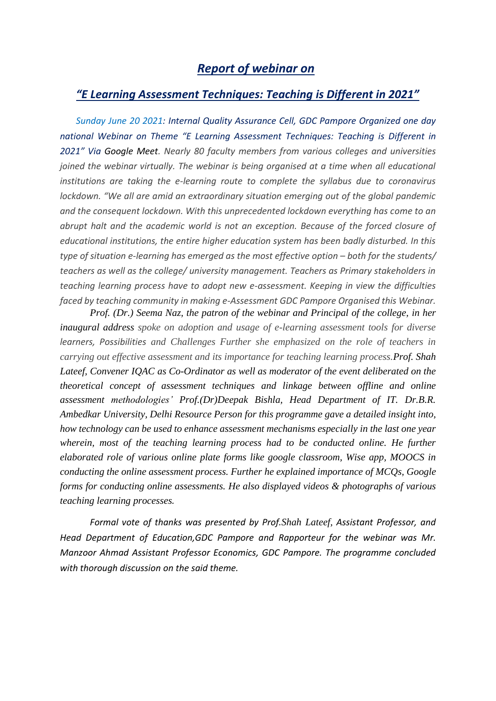## *Report of webinar on*

## *"E Learning Assessment Techniques: Teaching is Different in 2021"*

*Sunday June 20 2021: Internal Quality Assurance Cell, GDC Pampore Organized one day national Webinar on Theme "E Learning Assessment Techniques: Teaching is Different in 2021" Via Google Meet. Nearly 80 faculty members from various colleges and universities joined the webinar virtually. The webinar is being organised at a time when all educational institutions are taking the e-learning route to complete the syllabus due to coronavirus lockdown. "We all are amid an extraordinary situation emerging out of the global pandemic and the consequent lockdown. With this unprecedented lockdown everything has come to an abrupt halt and the academic world is not an exception. Because of the forced closure of educational institutions, the entire higher education system has been badly disturbed. In this type of situation e-learning has emerged as the most effective option – both for the students/ teachers as well as the college/ university management. Teachers as Primary stakeholders in teaching learning process have to adopt new e-assessment. Keeping in view the difficulties faced by teaching community in making e-Assessment GDC Pampore Organised this Webinar.*

*Prof. (Dr.) Seema Naz, the patron of the webinar and Principal of the college, in her inaugural address spoke on adoption and usage of e-learning assessment tools for diverse learners, Possibilities and Challenges Further she emphasized on the role of teachers in carrying out effective assessment and its importance for teaching learning process.Prof. Shah Lateef, Convener IQAC as Co-Ordinator as well as moderator of the event deliberated on the theoretical concept of assessment techniques and linkage between offline and online assessment methodologies' Prof.(Dr)Deepak Bishla, Head Department of IT. Dr.B.R. Ambedkar University, Delhi Resource Person for this programme gave a detailed insight into, how technology can be used to enhance assessment mechanisms especially in the last one year*  wherein, most of the teaching learning process had to be conducted online. He further *elaborated role of various online plate forms like google classroom, Wise app, MOOCS in conducting the online assessment process. Further he explained importance of MCQs, Google forms for conducting online assessments. He also displayed videos & photographs of various teaching learning processes.*

*Formal vote of thanks was presented by Prof.Shah Lateef, Assistant Professor, and Head Department of Education,GDC Pampore and Rapporteur for the webinar was Mr. Manzoor Ahmad Assistant Professor Economics, GDC Pampore. The programme concluded with thorough discussion on the said theme.*